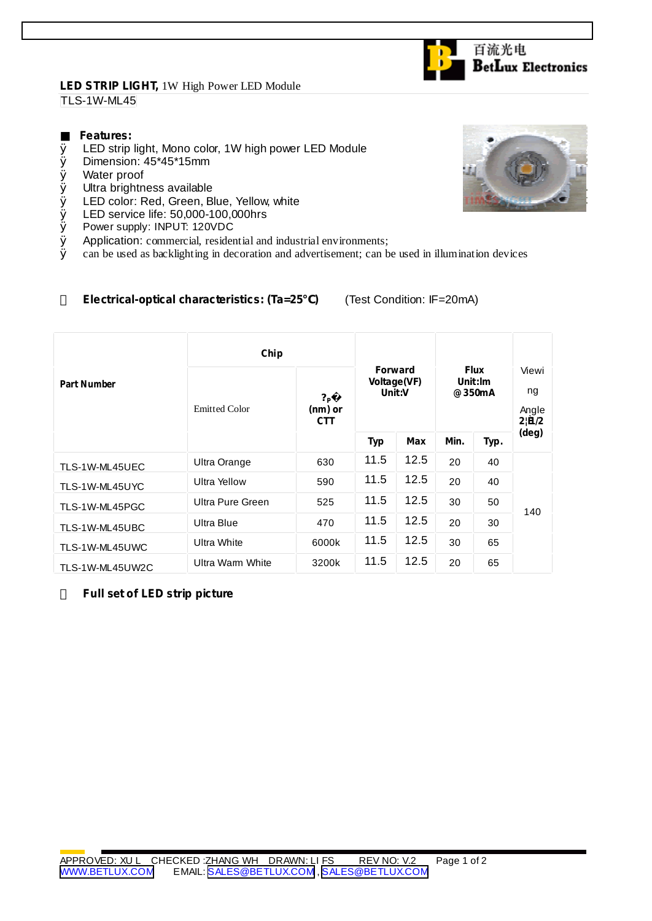## **LED STRIP LIGHT,** 1W High Power LED Module TLS-1W-ML45

## **Features:**

- Ø LED strip light, Mono color, 1W high power LED Module
- Ø Dimension: 45\*45\*15mm
- Ø Water proof
- Ø Ultra brightness available
- Ø LED color: Red, Green, Blue, Yellow, white
- Ø LED service life: 50,000-100,000hrs<br>Ø Power supply: INPUT: 120VDC
- Power supply: INPUT: 120VDC
- $\emptyset$  Application: commercial, residential and industrial environments;<br> $\emptyset$  can be used as backlighting in decoration and advertisement: can b
- Ø can be used as backlighting in decoration and advertisement; can be used in illumination devices

## **Electrical-optical characteristics: (Ta=25 )** (Test Condition: IF=20mA)

|                    | Chip                 |                                           |                                         |      |                                  |      |                               |
|--------------------|----------------------|-------------------------------------------|-----------------------------------------|------|----------------------------------|------|-------------------------------|
| <b>Part Number</b> | <b>Emitted Color</b> | $?_{\mathsf{P}}$<br>(nm) or<br><b>CTT</b> | <b>Forward</b><br>Voltage(VF)<br>Unit:V |      | <b>Flux</b><br>Unit:Im<br>@350mA |      | Viewi<br>ng<br>Angle<br>2!B/2 |
|                    |                      |                                           | <b>Typ</b>                              | Max  | Min.                             | Typ. | (deg)                         |
| TLS-1W-ML45UEC     | Ultra Orange         | 630                                       | 11.5                                    | 12.5 | 20                               | 40   | 140                           |
| TLS-1W-ML45UYC     | <b>Ultra Yellow</b>  | 590                                       | 11.5                                    | 12.5 | 20                               | 40   |                               |
| TLS-1W-ML45PGC     | Ultra Pure Green     | 525                                       | 11.5                                    | 12.5 | 30                               | 50   |                               |
| TLS-1W-ML45UBC     | Ultra Blue           | 470                                       | 11.5                                    | 12.5 | 20                               | 30   |                               |
| TLS-1W-ML45UWC     | <b>Ultra White</b>   | 6000k                                     | 11.5                                    | 12.5 | 30                               | 65   |                               |
| TLS-1W-ML45UW2C    | Ultra Warm White     | 3200k                                     | 11.5                                    | 12.5 | 20                               | 65   |                               |

**Full set of LED strip picture**